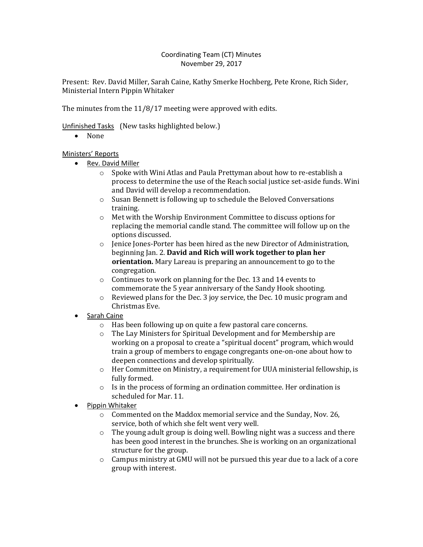## Coordinating Team (CT) Minutes November 29, 2017

Present: Rev. David Miller, Sarah Caine, Kathy Smerke Hochberg, Pete Krone, Rich Sider, Ministerial Intern Pippin Whitaker

The minutes from the 11/8/17 meeting were approved with edits.

Unfinished Tasks (New tasks highlighted below.)

• None

# Ministers' Reports

- Rev. David Miller
	- o Spoke with Wini Atlas and Paula Prettyman about how to re-establish a process to determine the use of the Reach social justice set-aside funds. Wini and David will develop a recommendation.
	- o Susan Bennett is following up to schedule the Beloved Conversations training.
	- o Met with the Worship Environment Committee to discuss options for replacing the memorial candle stand. The committee will follow up on the options discussed.
	- $\circ$  Jenice Jones-Porter has been hired as the new Director of Administration, beginning Jan. 2. **David and Rich will work together to plan her orientation.** Mary Lareau is preparing an announcement to go to the congregation.
	- o Continues to work on planning for the Dec. 13 and 14 events to commemorate the 5 year anniversary of the Sandy Hook shooting.
	- $\circ$  Reviewed plans for the Dec. 3 joy service, the Dec. 10 music program and Christmas Eve.
- Sarah Caine
	- o Has been following up on quite a few pastoral care concerns.
	- o The Lay Ministers for Spiritual Development and for Membership are working on a proposal to create a "spiritual docent" program, which would train a group of members to engage congregants one-on-one about how to deepen connections and develop spiritually.
	- o Her Committee on Ministry, a requirement for UUA ministerial fellowship, is fully formed.
	- o Is in the process of forming an ordination committee. Her ordination is scheduled for Mar. 11.
- Pippin Whitaker
	- $\circ$  Commented on the Maddox memorial service and the Sunday, Nov. 26, service, both of which she felt went very well.
	- o The young adult group is doing well. Bowling night was a success and there has been good interest in the brunches. She is working on an organizational structure for the group.
	- $\circ$  Campus ministry at GMU will not be pursued this year due to a lack of a core group with interest.